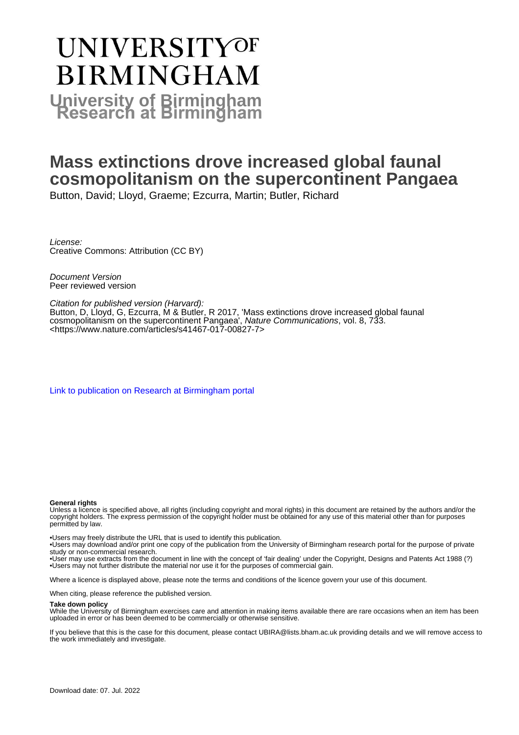# **UNIVERSITYOF BIRMINGHAM University of Birmingham**

# **Mass extinctions drove increased global faunal cosmopolitanism on the supercontinent Pangaea**

Button, David; Lloyd, Graeme; Ezcurra, Martin; Butler, Richard

License: Creative Commons: Attribution (CC BY)

Document Version Peer reviewed version

Citation for published version (Harvard): Button, D, Lloyd, G, Ezcurra, M & Butler, R 2017, 'Mass extinctions drove increased global faunal cosmopolitanism on the supercontinent Pangaea', Nature Communications, vol. 8, 733. <<https://www.nature.com/articles/s41467-017-00827-7>>

[Link to publication on Research at Birmingham portal](https://birmingham.elsevierpure.com/en/publications/70127df3-9e38-4265-9b45-f7c53276655c)

#### **General rights**

Unless a licence is specified above, all rights (including copyright and moral rights) in this document are retained by the authors and/or the copyright holders. The express permission of the copyright holder must be obtained for any use of this material other than for purposes permitted by law.

• Users may freely distribute the URL that is used to identify this publication.

• Users may download and/or print one copy of the publication from the University of Birmingham research portal for the purpose of private study or non-commercial research.

• User may use extracts from the document in line with the concept of 'fair dealing' under the Copyright, Designs and Patents Act 1988 (?) • Users may not further distribute the material nor use it for the purposes of commercial gain.

Where a licence is displayed above, please note the terms and conditions of the licence govern your use of this document.

When citing, please reference the published version.

#### **Take down policy**

While the University of Birmingham exercises care and attention in making items available there are rare occasions when an item has been uploaded in error or has been deemed to be commercially or otherwise sensitive.

If you believe that this is the case for this document, please contact UBIRA@lists.bham.ac.uk providing details and we will remove access to the work immediately and investigate.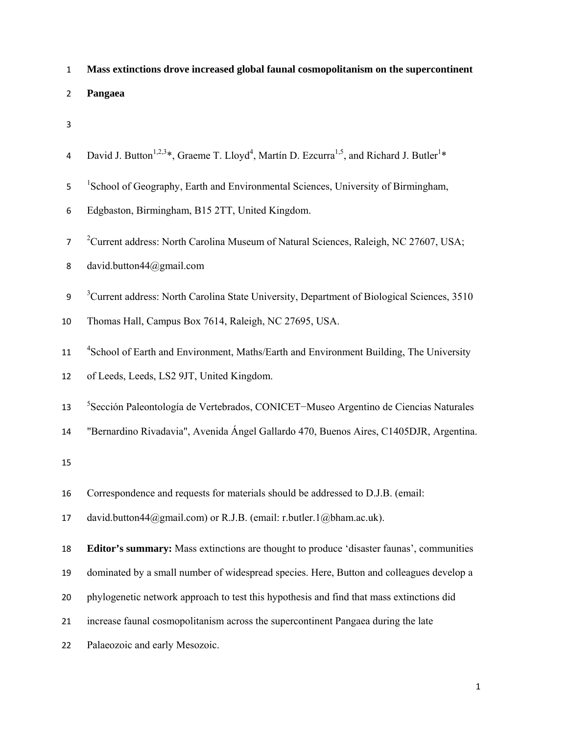| $\mathbf{1}$   | Mass extinctions drove increased global faunal cosmopolitanism on the supercontinent                                                       |
|----------------|--------------------------------------------------------------------------------------------------------------------------------------------|
| $\overline{2}$ | Pangaea                                                                                                                                    |
| 3              |                                                                                                                                            |
| 4              | David J. Button <sup>1,2,3</sup> *, Graeme T. Lloyd <sup>4</sup> , Martín D. Ezcurra <sup>1,5</sup> , and Richard J. Butler <sup>1</sup> * |
| 5              | <sup>1</sup> School of Geography, Earth and Environmental Sciences, University of Birmingham,                                              |
| 6              | Edgbaston, Birmingham, B15 2TT, United Kingdom.                                                                                            |
| $\overline{7}$ | <sup>2</sup> Current address: North Carolina Museum of Natural Sciences, Raleigh, NC 27607, USA;                                           |
| 8              | david.button44@gmail.com                                                                                                                   |
| 9              | <sup>3</sup> Current address: North Carolina State University, Department of Biological Sciences, 3510                                     |
| 10             | Thomas Hall, Campus Box 7614, Raleigh, NC 27695, USA.                                                                                      |
| 11             | <sup>4</sup> School of Earth and Environment, Maths/Earth and Environment Building, The University                                         |
| 12             | of Leeds, Leeds, LS2 9JT, United Kingdom.                                                                                                  |
| 13             | <sup>5</sup> Sección Paleontología de Vertebrados, CONICET-Museo Argentino de Ciencias Naturales                                           |
| 14             | "Bernardino Rivadavia", Avenida Ángel Gallardo 470, Buenos Aires, C1405DJR, Argentina.                                                     |
| 15             |                                                                                                                                            |
| 16             | Correspondence and requests for materials should be addressed to D.J.B. (email:                                                            |
| 17             | david.button44@gmail.com) or R.J.B. (email: r.butler.1@bham.ac.uk).                                                                        |
| 18             | Editor's summary: Mass extinctions are thought to produce 'disaster faunas', communities                                                   |
| 19             | dominated by a small number of widespread species. Here, Button and colleagues develop a                                                   |
| 20             | phylogenetic network approach to test this hypothesis and find that mass extinctions did                                                   |
| 21             | increase faunal cosmopolitanism across the supercontinent Pangaea during the late                                                          |
| 22             | Palaeozoic and early Mesozoic.                                                                                                             |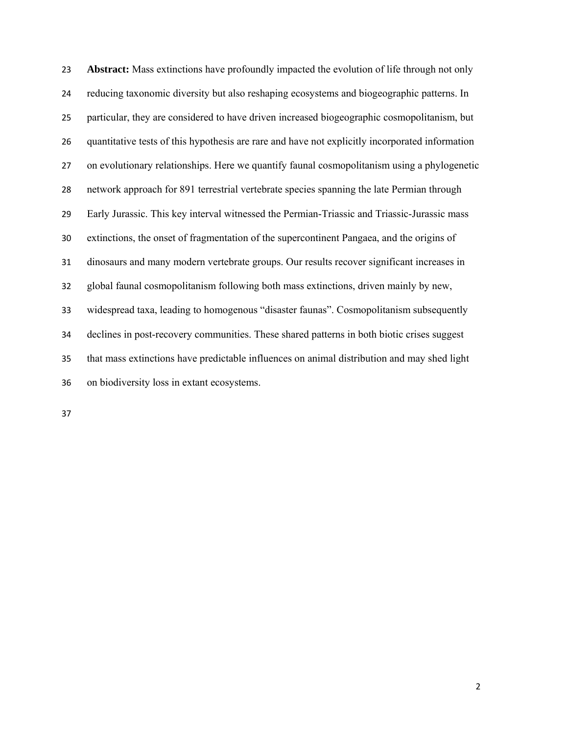**Abstract:** Mass extinctions have profoundly impacted the evolution of life through not only reducing taxonomic diversity but also reshaping ecosystems and biogeographic patterns. In particular, they are considered to have driven increased biogeographic cosmopolitanism, but quantitative tests of this hypothesis are rare and have not explicitly incorporated information on evolutionary relationships. Here we quantify faunal cosmopolitanism using a phylogenetic network approach for 891 terrestrial vertebrate species spanning the late Permian through Early Jurassic. This key interval witnessed the Permian-Triassic and Triassic-Jurassic mass extinctions, the onset of fragmentation of the supercontinent Pangaea, and the origins of dinosaurs and many modern vertebrate groups. Our results recover significant increases in global faunal cosmopolitanism following both mass extinctions, driven mainly by new, widespread taxa, leading to homogenous "disaster faunas". Cosmopolitanism subsequently declines in post-recovery communities. These shared patterns in both biotic crises suggest that mass extinctions have predictable influences on animal distribution and may shed light on biodiversity loss in extant ecosystems.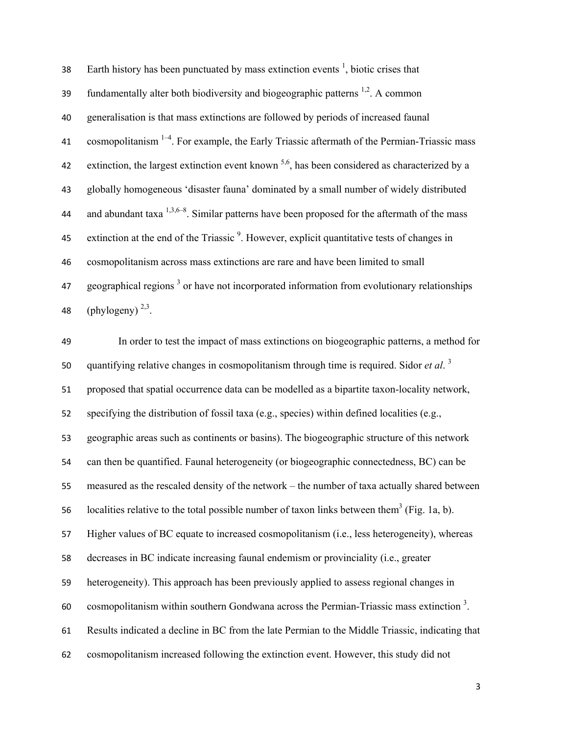| 38 | Earth history has been punctuated by mass extinction events $\frac{1}{2}$ , biotic crises that          |
|----|---------------------------------------------------------------------------------------------------------|
| 39 | fundamentally alter both biodiversity and biogeographic patterns $^{1,2}$ . A common                    |
| 40 | generalisation is that mass extinctions are followed by periods of increased faunal                     |
| 41 | cosmopolitanism $1-4$ . For example, the Early Triassic aftermath of the Permian-Triassic mass          |
| 42 | extinction, the largest extinction event known $5.6$ , has been considered as characterized by a        |
| 43 | globally homogeneous 'disaster fauna' dominated by a small number of widely distributed                 |
| 44 | and abundant taxa $^{1,3,6-8}$ . Similar patterns have been proposed for the aftermath of the mass      |
| 45 | extinction at the end of the Triassic <sup>9</sup> . However, explicit quantitative tests of changes in |
| 46 | cosmopolitanism across mass extinctions are rare and have been limited to small                         |
| 47 | geographical regions $3$ or have not incorporated information from evolutionary relationships           |
| 48 | (phylogeny) $^{2,3}$ .                                                                                  |

In order to test the impact of mass extinctions on biogeographic patterns, a method for 50 quantifying relative changes in cosmopolitanism through time is required. Sidor *et al.*<sup>3</sup> proposed that spatial occurrence data can be modelled as a bipartite taxon-locality network, specifying the distribution of fossil taxa (e.g., species) within defined localities (e.g., geographic areas such as continents or basins). The biogeographic structure of this network can then be quantified. Faunal heterogeneity (or biogeographic connectedness, BC) can be measured as the rescaled density of the network – the number of taxa actually shared between 56 localities relative to the total possible number of taxon links between them<sup>3</sup> (Fig. 1a, b). Higher values of BC equate to increased cosmopolitanism (i.e., less heterogeneity), whereas decreases in BC indicate increasing faunal endemism or provinciality (i.e., greater heterogeneity). This approach has been previously applied to assess regional changes in 60 . cosmopolitanism within southern Gondwana across the Permian-Triassic mass extinction . Results indicated a decline in BC from the late Permian to the Middle Triassic, indicating that cosmopolitanism increased following the extinction event. However, this study did not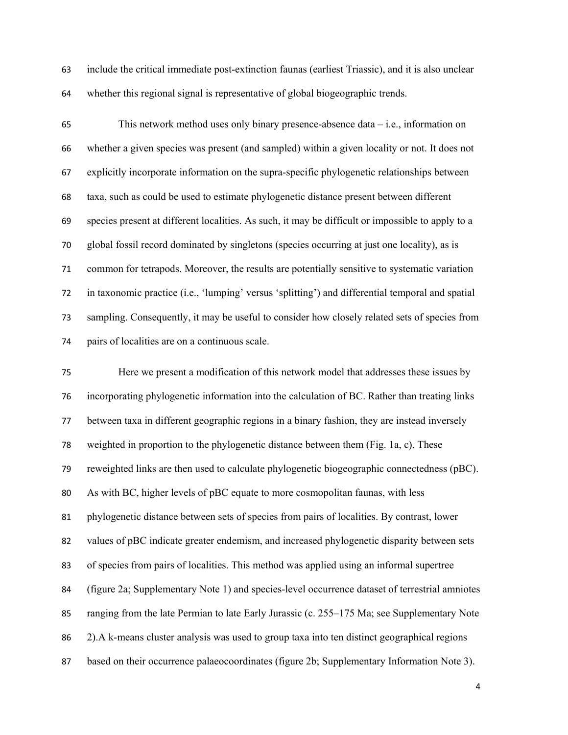include the critical immediate post-extinction faunas (earliest Triassic), and it is also unclear whether this regional signal is representative of global biogeographic trends.

This network method uses only binary presence-absence data – i.e., information on whether a given species was present (and sampled) within a given locality or not. It does not explicitly incorporate information on the supra-specific phylogenetic relationships between taxa, such as could be used to estimate phylogenetic distance present between different species present at different localities. As such, it may be difficult or impossible to apply to a global fossil record dominated by singletons (species occurring at just one locality), as is common for tetrapods. Moreover, the results are potentially sensitive to systematic variation in taxonomic practice (i.e., 'lumping' versus 'splitting') and differential temporal and spatial sampling. Consequently, it may be useful to consider how closely related sets of species from pairs of localities are on a continuous scale.

Here we present a modification of this network model that addresses these issues by incorporating phylogenetic information into the calculation of BC. Rather than treating links between taxa in different geographic regions in a binary fashion, they are instead inversely weighted in proportion to the phylogenetic distance between them (Fig. 1a, c). These reweighted links are then used to calculate phylogenetic biogeographic connectedness (pBC). As with BC, higher levels of pBC equate to more cosmopolitan faunas, with less phylogenetic distance between sets of species from pairs of localities. By contrast, lower values of pBC indicate greater endemism, and increased phylogenetic disparity between sets of species from pairs of localities. This method was applied using an informal supertree (figure 2a; Supplementary Note 1) and species-level occurrence dataset of terrestrial amniotes ranging from the late Permian to late Early Jurassic (c. 255–175 Ma; see Supplementary Note 2).A k-means cluster analysis was used to group taxa into ten distinct geographical regions based on their occurrence palaeocoordinates (figure 2b; Supplementary Information Note 3).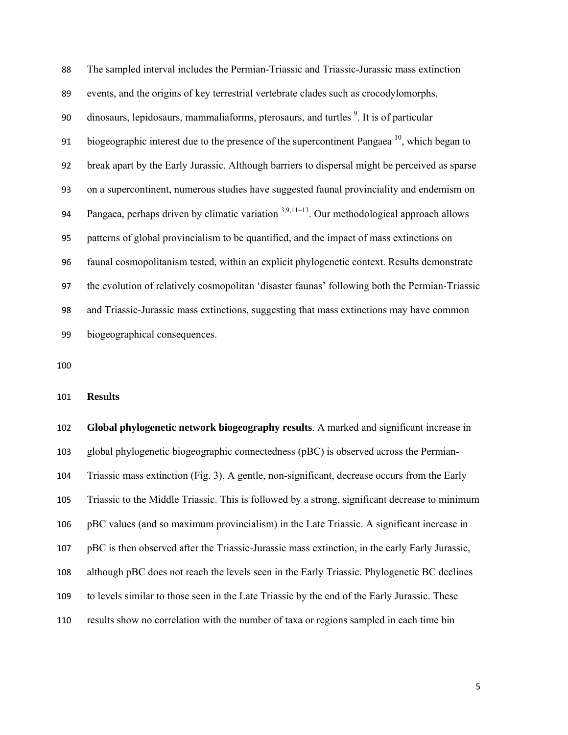The sampled interval includes the Permian-Triassic and Triassic-Jurassic mass extinction events, and the origins of key terrestrial vertebrate clades such as crocodylomorphs, 90 dinosaurs, lepidosaurs, mammaliaforms, pterosaurs, and turtles  $\frac{9}{10}$ . It is of particular 91 biogeographic interest due to the presence of the supercontinent Pangaea  $\frac{10}{2}$ , which began to break apart by the Early Jurassic. Although barriers to dispersal might be perceived as sparse on a supercontinent, numerous studies have suggested faunal provinciality and endemism on 94 Pangaea, perhaps driven by climatic variation  $3,9,11-13$ . Our methodological approach allows patterns of global provincialism to be quantified, and the impact of mass extinctions on faunal cosmopolitanism tested, within an explicit phylogenetic context. Results demonstrate the evolution of relatively cosmopolitan 'disaster faunas' following both the Permian-Triassic and Triassic-Jurassic mass extinctions, suggesting that mass extinctions may have common biogeographical consequences.

**Results** 

**Global phylogenetic network biogeography results**. A marked and significant increase in global phylogenetic biogeographic connectedness (pBC) is observed across the Permian-Triassic mass extinction (Fig. 3). A gentle, non-significant, decrease occurs from the Early Triassic to the Middle Triassic. This is followed by a strong, significant decrease to minimum pBC values (and so maximum provincialism) in the Late Triassic. A significant increase in pBC is then observed after the Triassic-Jurassic mass extinction, in the early Early Jurassic, although pBC does not reach the levels seen in the Early Triassic. Phylogenetic BC declines to levels similar to those seen in the Late Triassic by the end of the Early Jurassic. These results show no correlation with the number of taxa or regions sampled in each time bin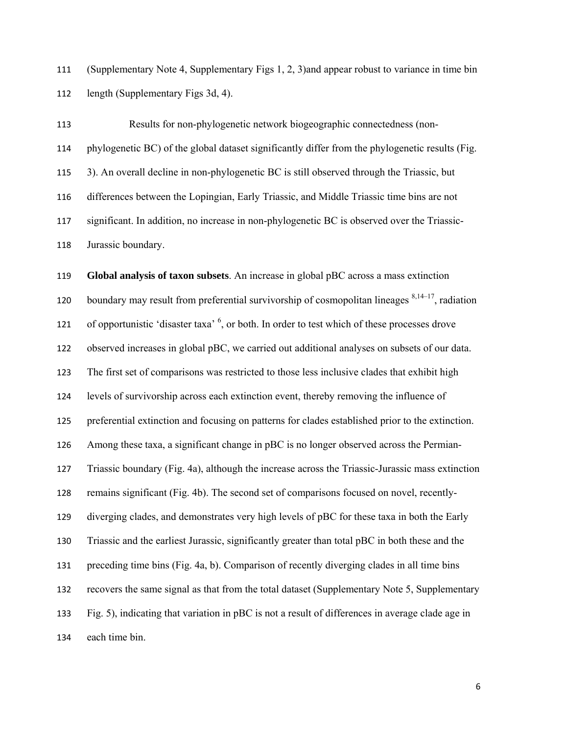(Supplementary Note 4, Supplementary Figs 1, 2, 3)and appear robust to variance in time bin length (Supplementary Figs 3d, 4).

Results for non-phylogenetic network biogeographic connectedness (non-phylogenetic BC) of the global dataset significantly differ from the phylogenetic results (Fig. 3). An overall decline in non-phylogenetic BC is still observed through the Triassic, but differences between the Lopingian, Early Triassic, and Middle Triassic time bins are not significant. In addition, no increase in non-phylogenetic BC is observed over the Triassic-Jurassic boundary.

**Global analysis of taxon subsets**. An increase in global pBC across a mass extinction 120 boundary may result from preferential survivorship of cosmopolitan lineages  $8,14-17$ , radiation 121 of opportunistic 'disaster taxa' <sup>6</sup>, or both. In order to test which of these processes drove observed increases in global pBC, we carried out additional analyses on subsets of our data. The first set of comparisons was restricted to those less inclusive clades that exhibit high levels of survivorship across each extinction event, thereby removing the influence of preferential extinction and focusing on patterns for clades established prior to the extinction. Among these taxa, a significant change in pBC is no longer observed across the Permian-Triassic boundary (Fig. 4a), although the increase across the Triassic-Jurassic mass extinction remains significant (Fig. 4b). The second set of comparisons focused on novel, recently-diverging clades, and demonstrates very high levels of pBC for these taxa in both the Early Triassic and the earliest Jurassic, significantly greater than total pBC in both these and the preceding time bins (Fig. 4a, b). Comparison of recently diverging clades in all time bins recovers the same signal as that from the total dataset (Supplementary Note 5, Supplementary Fig. 5), indicating that variation in pBC is not a result of differences in average clade age in each time bin.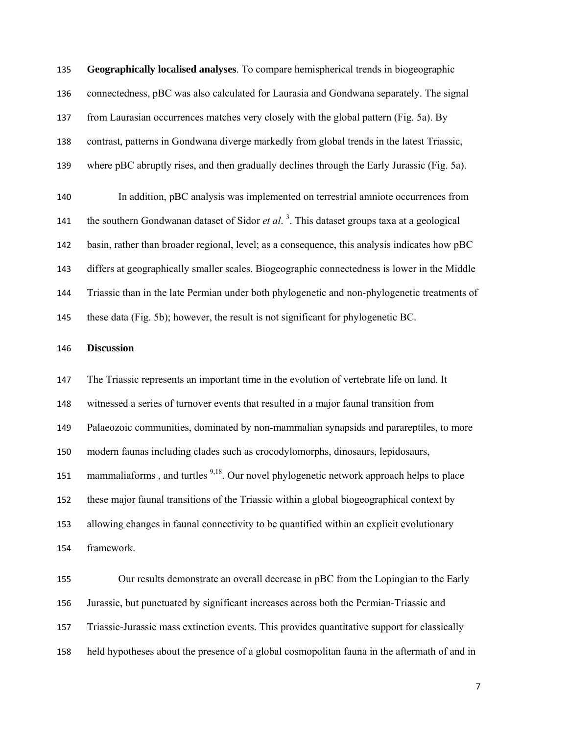**Geographically localised analyses**. To compare hemispherical trends in biogeographic connectedness, pBC was also calculated for Laurasia and Gondwana separately. The signal from Laurasian occurrences matches very closely with the global pattern (Fig. 5a). By contrast, patterns in Gondwana diverge markedly from global trends in the latest Triassic, where pBC abruptly rises, and then gradually declines through the Early Jurassic (Fig. 5a). In addition, pBC analysis was implemented on terrestrial amniote occurrences from the southern Gondwanan dataset of Sidor *et al*.<sup>3</sup>. This dataset groups taxa at a geological basin, rather than broader regional, level; as a consequence, this analysis indicates how pBC differs at geographically smaller scales. Biogeographic connectedness is lower in the Middle Triassic than in the late Permian under both phylogenetic and non-phylogenetic treatments of these data (Fig. 5b); however, the result is not significant for phylogenetic BC.

#### **Discussion**

The Triassic represents an important time in the evolution of vertebrate life on land. It witnessed a series of turnover events that resulted in a major faunal transition from Palaeozoic communities, dominated by non-mammalian synapsids and parareptiles, to more modern faunas including clades such as crocodylomorphs, dinosaurs, lepidosaurs, 151 mammaliaforms, and turtles  $9,18$ . Our novel phylogenetic network approach helps to place these major faunal transitions of the Triassic within a global biogeographical context by allowing changes in faunal connectivity to be quantified within an explicit evolutionary framework.

Our results demonstrate an overall decrease in pBC from the Lopingian to the Early Jurassic, but punctuated by significant increases across both the Permian-Triassic and Triassic-Jurassic mass extinction events. This provides quantitative support for classically held hypotheses about the presence of a global cosmopolitan fauna in the aftermath of and in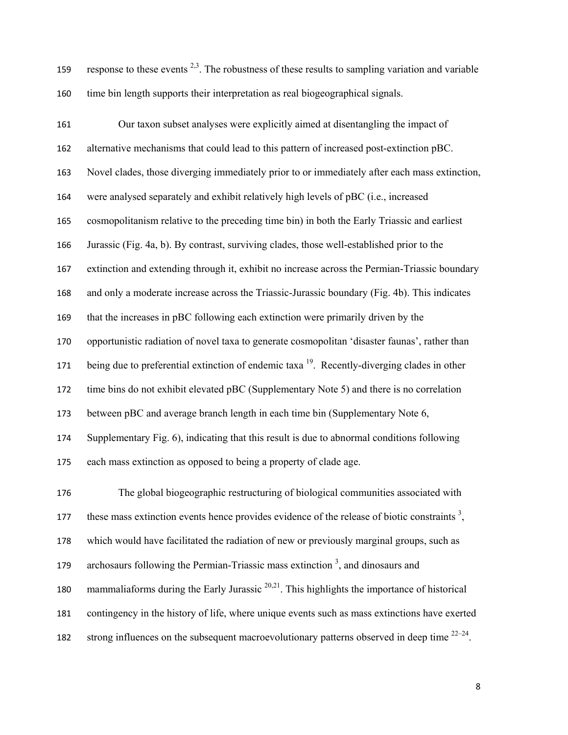| 159 | response to these events $23$ . The robustness of these results to sampling variation and variable |
|-----|----------------------------------------------------------------------------------------------------|
| 160 | time bin length supports their interpretation as real biogeographical signals.                     |

| 161 | Our taxon subset analyses were explicitly aimed at disentangling the impact of                          |
|-----|---------------------------------------------------------------------------------------------------------|
| 162 | alternative mechanisms that could lead to this pattern of increased post-extinction pBC.                |
| 163 | Novel clades, those diverging immediately prior to or immediately after each mass extinction,           |
| 164 | were analysed separately and exhibit relatively high levels of pBC (i.e., increased                     |
| 165 | cosmopolitanism relative to the preceding time bin) in both the Early Triassic and earliest             |
| 166 | Jurassic (Fig. 4a, b). By contrast, surviving clades, those well-established prior to the               |
| 167 | extinction and extending through it, exhibit no increase across the Permian-Triassic boundary           |
| 168 | and only a moderate increase across the Triassic-Jurassic boundary (Fig. 4b). This indicates            |
| 169 | that the increases in pBC following each extinction were primarily driven by the                        |
| 170 | opportunistic radiation of novel taxa to generate cosmopolitan 'disaster faunas', rather than           |
| 171 | being due to preferential extinction of endemic taxa <sup>19</sup> . Recently-diverging clades in other |
| 172 | time bins do not exhibit elevated pBC (Supplementary Note 5) and there is no correlation                |
| 173 | between pBC and average branch length in each time bin (Supplementary Note 6,                           |
| 174 | Supplementary Fig. 6), indicating that this result is due to abnormal conditions following              |
| 175 | each mass extinction as opposed to being a property of clade age.                                       |
| 176 | The global biogeographic restructuring of biological communities associated with                        |

these mass extinction events hence provides evidence of the release of biotic constraints ,

which would have facilitated the radiation of new or previously marginal groups, such as

- 179 archosaurs following the Permian-Triassic mass extinction , and dinosaurs and
- 180 mammaliaforms during the Early Jurassic  $20,21$ . This highlights the importance of historical

contingency in the history of life, where unique events such as mass extinctions have exerted

strong influences on the subsequent macroevolutionary patterns observed in deep time  $22-24$ .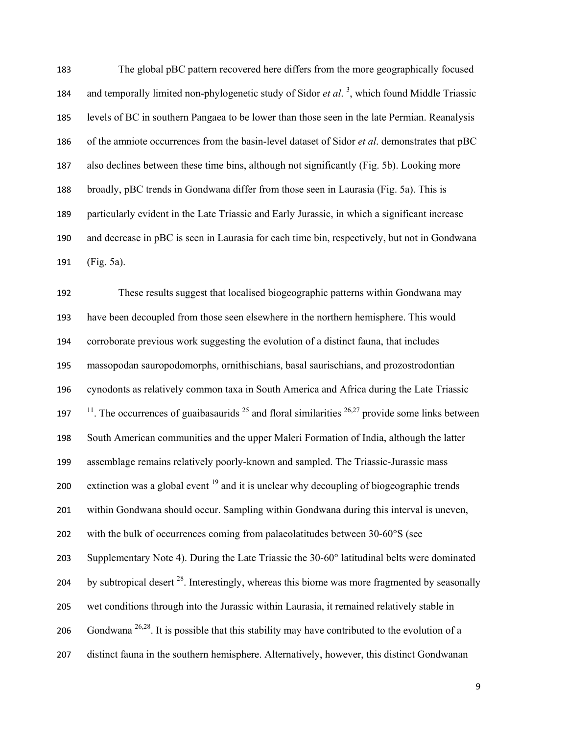The global pBC pattern recovered here differs from the more geographically focused and temporally limited non-phylogenetic study of Sidor *et al.*<sup>3</sup>, which found Middle Triassic levels of BC in southern Pangaea to be lower than those seen in the late Permian. Reanalysis of the amniote occurrences from the basin-level dataset of Sidor *et al*. demonstrates that pBC also declines between these time bins, although not significantly (Fig. 5b). Looking more broadly, pBC trends in Gondwana differ from those seen in Laurasia (Fig. 5a). This is particularly evident in the Late Triassic and Early Jurassic, in which a significant increase and decrease in pBC is seen in Laurasia for each time bin, respectively, but not in Gondwana (Fig. 5a).

These results suggest that localised biogeographic patterns within Gondwana may have been decoupled from those seen elsewhere in the northern hemisphere. This would corroborate previous work suggesting the evolution of a distinct fauna, that includes massopodan sauropodomorphs, ornithischians, basal saurischians, and prozostrodontian cynodonts as relatively common taxa in South America and Africa during the Late Triassic  $\frac{11}{1}$ . The occurrences of guaibasaurids  $\frac{25}{1}$  and floral similarities  $\frac{26,27}{1}$  provide some links between South American communities and the upper Maleri Formation of India, although the latter assemblage remains relatively poorly-known and sampled. The Triassic-Jurassic mass 200 extinction was a global event and it is unclear why decoupling of biogeographic trends within Gondwana should occur. Sampling within Gondwana during this interval is uneven, with the bulk of occurrences coming from palaeolatitudes between 30-60°S (see Supplementary Note 4). During the Late Triassic the 30-60° latitudinal belts were dominated 204 by subtropical desert  $^{28}$ . Interestingly, whereas this biome was more fragmented by seasonally wet conditions through into the Jurassic within Laurasia, it remained relatively stable in 206 Gondwana  $^{26,28}$ . It is possible that this stability may have contributed to the evolution of a distinct fauna in the southern hemisphere. Alternatively, however, this distinct Gondwanan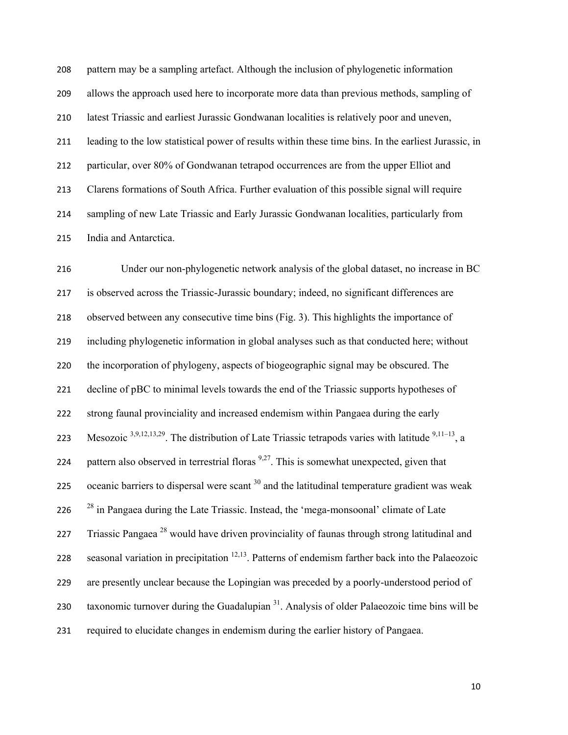pattern may be a sampling artefact. Although the inclusion of phylogenetic information allows the approach used here to incorporate more data than previous methods, sampling of latest Triassic and earliest Jurassic Gondwanan localities is relatively poor and uneven, leading to the low statistical power of results within these time bins. In the earliest Jurassic, in particular, over 80% of Gondwanan tetrapod occurrences are from the upper Elliot and Clarens formations of South Africa. Further evaluation of this possible signal will require sampling of new Late Triassic and Early Jurassic Gondwanan localities, particularly from India and Antarctica.

Under our non-phylogenetic network analysis of the global dataset, no increase in BC is observed across the Triassic-Jurassic boundary; indeed, no significant differences are observed between any consecutive time bins (Fig. 3). This highlights the importance of including phylogenetic information in global analyses such as that conducted here; without the incorporation of phylogeny, aspects of biogeographic signal may be obscured. The decline of pBC to minimal levels towards the end of the Triassic supports hypotheses of strong faunal provinciality and increased endemism within Pangaea during the early 223 Mesozoic <sup>3,9,12,13,29</sup>. The distribution of Late Triassic tetrapods varies with latitude <sup>9,11–13</sup>, a 224 pattern also observed in terrestrial floras  $9.27$ . This is somewhat unexpected, given that 225 oceanic barriers to dispersal were scant and the latitudinal temperature gradient was weak  $^{28}$  in Pangaea during the Late Triassic. Instead, the 'mega-monsoonal' climate of Late 227 Triassic Pangaea<sup>28</sup> would have driven provinciality of faunas through strong latitudinal and 228 seasonal variation in precipitation  $12,13$ . Patterns of endemism farther back into the Palaeozoic are presently unclear because the Lopingian was preceded by a poorly-understood period of 230 taxonomic turnover during the Guadalupian . Analysis of older Palaeozoic time bins will be required to elucidate changes in endemism during the earlier history of Pangaea.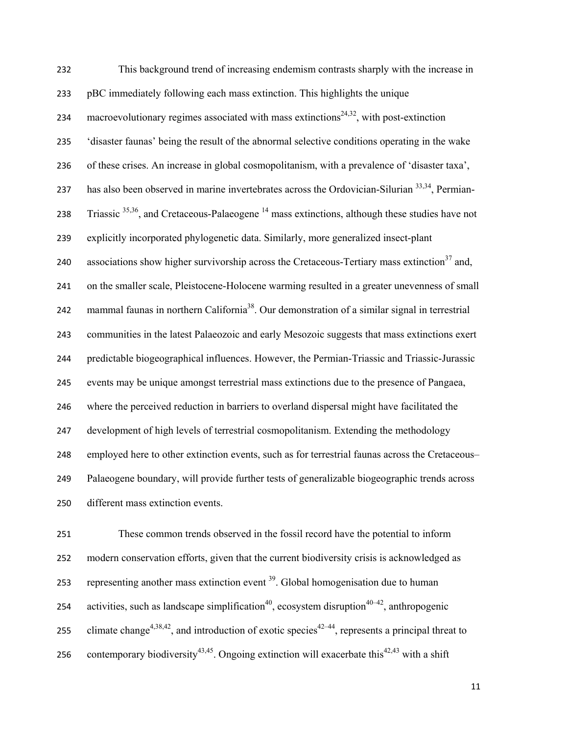This background trend of increasing endemism contrasts sharply with the increase in pBC immediately following each mass extinction. This highlights the unique 234 macroevolutionary regimes associated with mass extinctions<sup>24,32</sup>, with post-extinction 'disaster faunas' being the result of the abnormal selective conditions operating in the wake of these crises. An increase in global cosmopolitanism, with a prevalence of 'disaster taxa', 237 has also been observed in marine invertebrates across the Ordovician-Silurian  $33,34$ , Permian-238 Triassic  $35,36$ , and Cretaceous-Palaeogene  $14$  mass extinctions, although these studies have not explicitly incorporated phylogenetic data. Similarly, more generalized insect-plant 240 associations show higher survivorship across the Cretaceous-Tertiary mass extinction<sup>37</sup> and, on the smaller scale, Pleistocene-Holocene warming resulted in a greater unevenness of small 242 mammal faunas in northern California<sup>38</sup>. Our demonstration of a similar signal in terrestrial communities in the latest Palaeozoic and early Mesozoic suggests that mass extinctions exert predictable biogeographical influences. However, the Permian-Triassic and Triassic-Jurassic events may be unique amongst terrestrial mass extinctions due to the presence of Pangaea, where the perceived reduction in barriers to overland dispersal might have facilitated the development of high levels of terrestrial cosmopolitanism. Extending the methodology employed here to other extinction events, such as for terrestrial faunas across the Cretaceous– Palaeogene boundary, will provide further tests of generalizable biogeographic trends across different mass extinction events.

These common trends observed in the fossil record have the potential to inform modern conservation efforts, given that the current biodiversity crisis is acknowledged as 253 representing another mass extinction event <sup>39</sup>. Global homogenisation due to human 254 activities, such as landscape simplification<sup>40</sup>, ecosystem disruption<sup>40–42</sup>, anthropogenic 255 climate change<sup>4,38,42</sup>, and introduction of exotic species<sup>42–44</sup>, represents a principal threat to 256 contemporary biodiversity<sup>43,45</sup>. Ongoing extinction will exacerbate this<sup>42,43</sup> with a shift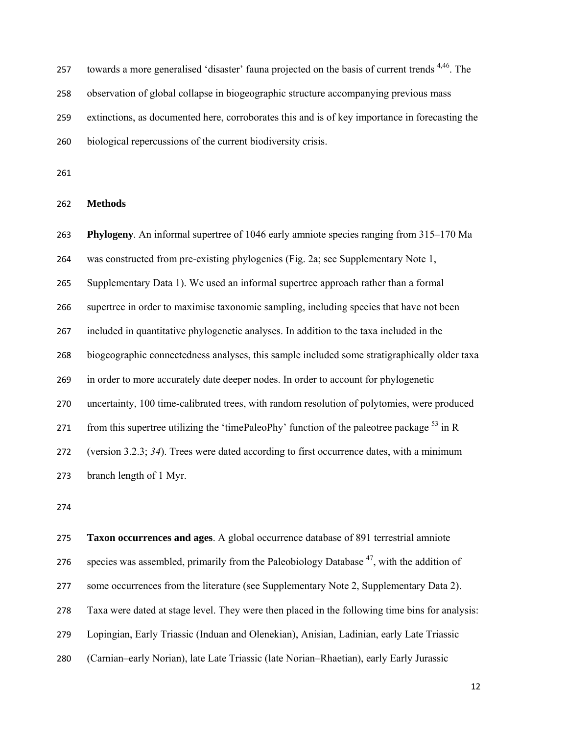257 towards a more generalised 'disaster' fauna projected on the basis of current trends <sup>4,46</sup>. The observation of global collapse in biogeographic structure accompanying previous mass extinctions, as documented here, corroborates this and is of key importance in forecasting the biological repercussions of the current biodiversity crisis.

**Methods** 

**Phylogeny**. An informal supertree of 1046 early amniote species ranging from 315–170 Ma was constructed from pre-existing phylogenies (Fig. 2a; see Supplementary Note 1, Supplementary Data 1). We used an informal supertree approach rather than a formal supertree in order to maximise taxonomic sampling, including species that have not been included in quantitative phylogenetic analyses. In addition to the taxa included in the biogeographic connectedness analyses, this sample included some stratigraphically older taxa in order to more accurately date deeper nodes. In order to account for phylogenetic uncertainty, 100 time-calibrated trees, with random resolution of polytomies, were produced 271 from this supertree utilizing the 'timePaleoPhy' function of the paleotree package in R (version 3.2.3; *34*). Trees were dated according to first occurrence dates, with a minimum branch length of 1 Myr.

**Taxon occurrences and ages**. A global occurrence database of 891 terrestrial amniote 276 species was assembled, primarily from the Paleobiology Database , with the addition of some occurrences from the literature (see Supplementary Note 2, Supplementary Data 2). Taxa were dated at stage level. They were then placed in the following time bins for analysis: Lopingian, Early Triassic (Induan and Olenekian), Anisian, Ladinian, early Late Triassic (Carnian–early Norian), late Late Triassic (late Norian–Rhaetian), early Early Jurassic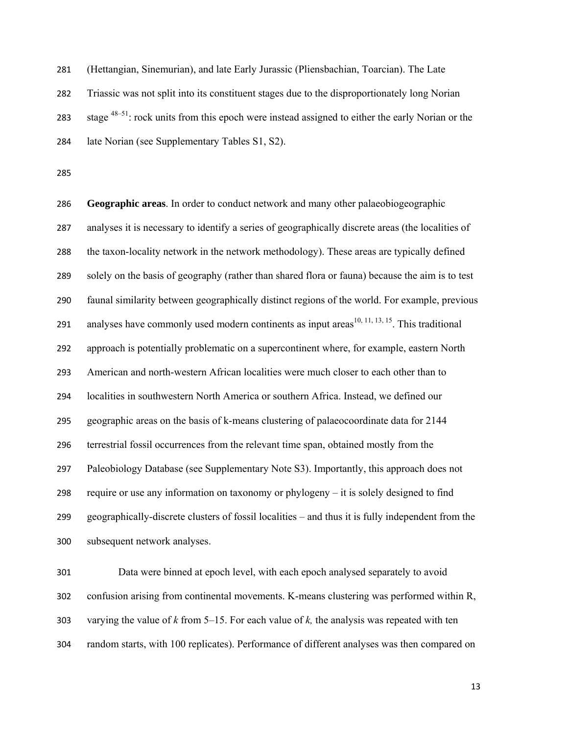(Hettangian, Sinemurian), and late Early Jurassic (Pliensbachian, Toarcian). The Late Triassic was not split into its constituent stages due to the disproportionately long Norian  $\cdot$  stage  $48-51$ : rock units from this epoch were instead assigned to either the early Norian or the late Norian (see Supplementary Tables S1, S2).

**Geographic areas**. In order to conduct network and many other palaeobiogeographic analyses it is necessary to identify a series of geographically discrete areas (the localities of the taxon-locality network in the network methodology). These areas are typically defined solely on the basis of geography (rather than shared flora or fauna) because the aim is to test faunal similarity between geographically distinct regions of the world. For example, previous 291 analyses have commonly used modern continents as input areas  $10, 11, 13, 15$ . This traditional approach is potentially problematic on a supercontinent where, for example, eastern North American and north-western African localities were much closer to each other than to localities in southwestern North America or southern Africa. Instead, we defined our geographic areas on the basis of k-means clustering of palaeocoordinate data for 2144 terrestrial fossil occurrences from the relevant time span, obtained mostly from the Paleobiology Database (see Supplementary Note S3). Importantly, this approach does not require or use any information on taxonomy or phylogeny – it is solely designed to find geographically-discrete clusters of fossil localities – and thus it is fully independent from the subsequent network analyses.

Data were binned at epoch level, with each epoch analysed separately to avoid confusion arising from continental movements. K-means clustering was performed within R, varying the value of *k* from 5–15. For each value of *k,* the analysis was repeated with ten random starts, with 100 replicates). Performance of different analyses was then compared on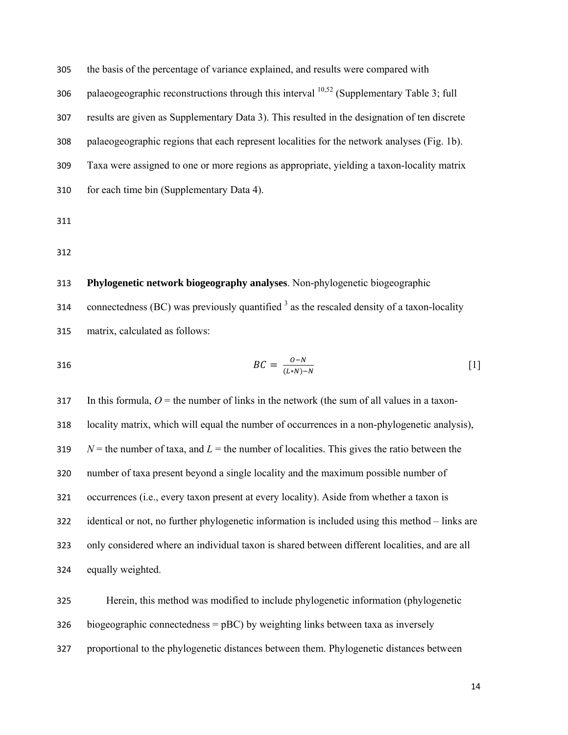the basis of the percentage of variance explained, and results were compared with 306 palaeogeographic reconstructions through this interval  $10,52$  (Supplementary Table 3; full results are given as Supplementary Data 3). This resulted in the designation of ten discrete palaeogeographic regions that each represent localities for the network analyses (Fig. 1b). Taxa were assigned to one or more regions as appropriate, yielding a taxon-locality matrix for each time bin (Supplementary Data 4).

**Phylogenetic network biogeography analyses**. Non-phylogenetic biogeographic 314 connectedness (BC) was previously quantified as the rescaled density of a taxon-locality

matrix, calculated as follows:

316 
$$
BC = \frac{0 - N}{(L*N) - N}
$$
 [1]

317 In this formula,  $O =$  the number of links in the network (the sum of all values in a taxon-locality matrix, which will equal the number of occurrences in a non-phylogenetic analysis),  $N =$  the number of taxa, and  $L =$  the number of localities. This gives the ratio between the number of taxa present beyond a single locality and the maximum possible number of occurrences (i.e., every taxon present at every locality). Aside from whether a taxon is identical or not, no further phylogenetic information is included using this method – links are only considered where an individual taxon is shared between different localities, and are all equally weighted.

Herein, this method was modified to include phylogenetic information (phylogenetic biogeographic connectedness = pBC) by weighting links between taxa as inversely proportional to the phylogenetic distances between them. Phylogenetic distances between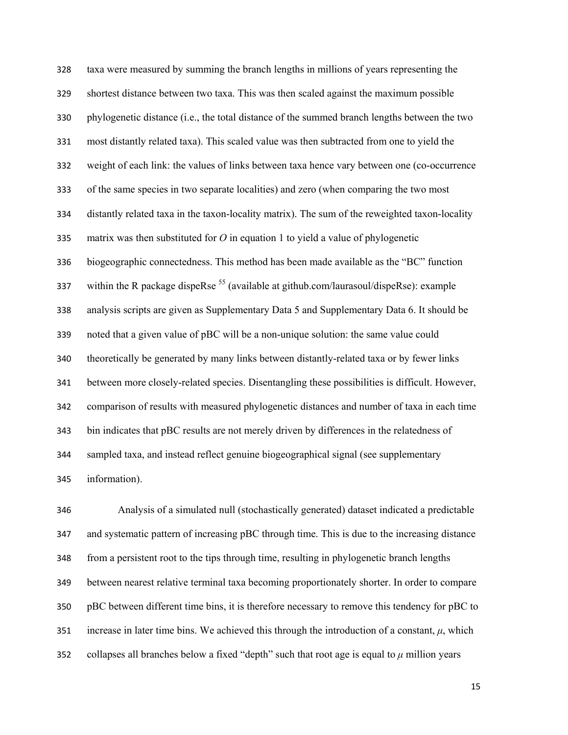taxa were measured by summing the branch lengths in millions of years representing the shortest distance between two taxa. This was then scaled against the maximum possible phylogenetic distance (i.e., the total distance of the summed branch lengths between the two most distantly related taxa). This scaled value was then subtracted from one to yield the weight of each link: the values of links between taxa hence vary between one (co-occurrence of the same species in two separate localities) and zero (when comparing the two most distantly related taxa in the taxon-locality matrix). The sum of the reweighted taxon-locality matrix was then substituted for *O* in equation 1 to yield a value of phylogenetic biogeographic connectedness. This method has been made available as the "BC" function 337 within the R package dispeRse  $<sup>55</sup>$  (available at github.com/laurasoul/dispeRse): example</sup> analysis scripts are given as Supplementary Data 5 and Supplementary Data 6. It should be noted that a given value of pBC will be a non-unique solution: the same value could theoretically be generated by many links between distantly-related taxa or by fewer links between more closely-related species. Disentangling these possibilities is difficult. However, comparison of results with measured phylogenetic distances and number of taxa in each time bin indicates that pBC results are not merely driven by differences in the relatedness of sampled taxa, and instead reflect genuine biogeographical signal (see supplementary information).

Analysis of a simulated null (stochastically generated) dataset indicated a predictable and systematic pattern of increasing pBC through time. This is due to the increasing distance from a persistent root to the tips through time, resulting in phylogenetic branch lengths between nearest relative terminal taxa becoming proportionately shorter. In order to compare pBC between different time bins, it is therefore necessary to remove this tendency for pBC to 351 increase in later time bins. We achieved this through the introduction of a constant,  $\mu$ , which 352 collapses all branches below a fixed "depth" such that root age is equal to  $\mu$  million years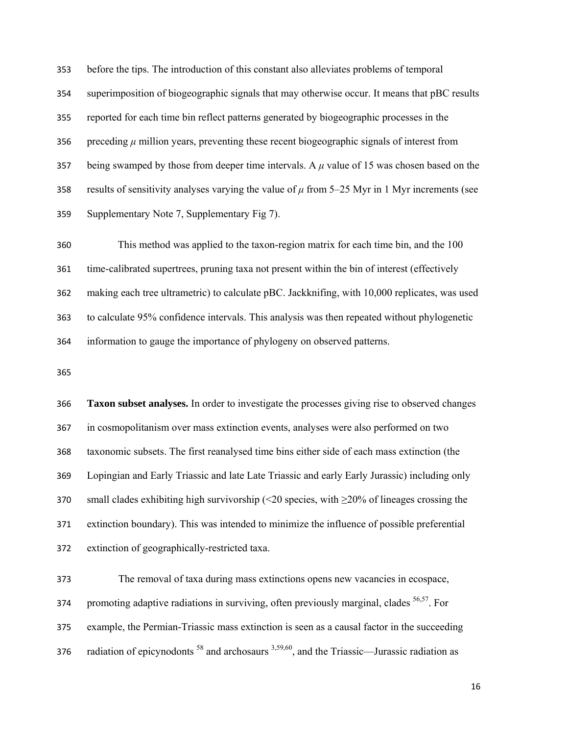before the tips. The introduction of this constant also alleviates problems of temporal superimposition of biogeographic signals that may otherwise occur. It means that pBC results reported for each time bin reflect patterns generated by biogeographic processes in the 356 preceding  $\mu$  million years, preventing these recent biogeographic signals of interest from 357 being swamped by those from deeper time intervals. A  $\mu$  value of 15 was chosen based on the 358 results of sensitivity analyses varying the value of  $\mu$  from 5–25 Myr in 1 Myr increments (see Supplementary Note 7, Supplementary Fig 7).

This method was applied to the taxon-region matrix for each time bin, and the 100 time-calibrated supertrees, pruning taxa not present within the bin of interest (effectively making each tree ultrametric) to calculate pBC. Jackknifing, with 10,000 replicates, was used to calculate 95% confidence intervals. This analysis was then repeated without phylogenetic information to gauge the importance of phylogeny on observed patterns.

**Taxon subset analyses.** In order to investigate the processes giving rise to observed changes in cosmopolitanism over mass extinction events, analyses were also performed on two taxonomic subsets. The first reanalysed time bins either side of each mass extinction (the Lopingian and Early Triassic and late Late Triassic and early Early Jurassic) including only 370 small clades exhibiting high survivorship (<20 species, with  $\geq$ 20% of lineages crossing the extinction boundary). This was intended to minimize the influence of possible preferential extinction of geographically-restricted taxa.

The removal of taxa during mass extinctions opens new vacancies in ecospace, 374 promoting adaptive radiations in surviving, often previously marginal, clades  $56,57$ . For example, the Permian-Triassic mass extinction is seen as a causal factor in the succeeding 376 radiation of epicynodonts  $^{58}$  and archosaurs  $^{3,59,60}$ , and the Triassic—Jurassic radiation as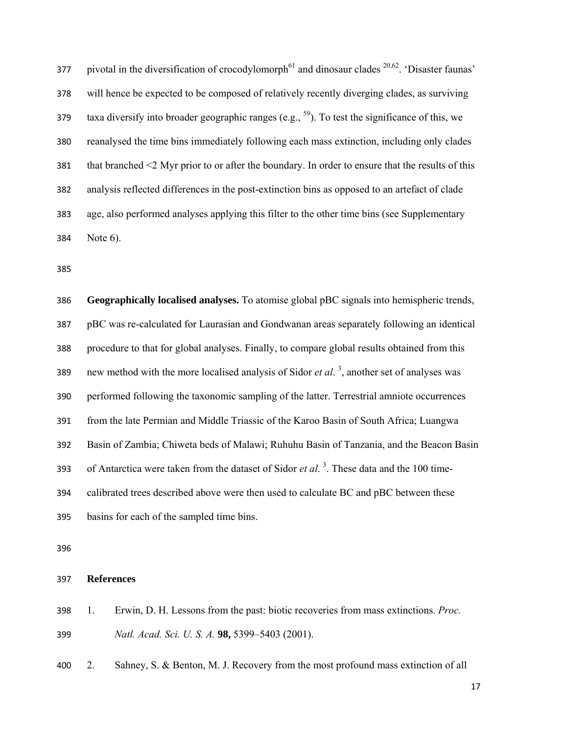377 pivotal in the diversification of crocodylomorph<sup>61</sup> and dinosaur clades  $20,62$ . 'Disaster faunas' will hence be expected to be composed of relatively recently diverging clades, as surviving taxa diversify into broader geographic ranges (e.g.,  $^{59}$ ). To test the significance of this, we reanalysed the time bins immediately following each mass extinction, including only clades that branched <2 Myr prior to or after the boundary. In order to ensure that the results of this analysis reflected differences in the post-extinction bins as opposed to an artefact of clade age, also performed analyses applying this filter to the other time bins (see Supplementary Note 6).

**Geographically localised analyses.** To atomise global pBC signals into hemispheric trends, pBC was re-calculated for Laurasian and Gondwanan areas separately following an identical procedure to that for global analyses. Finally, to compare global results obtained from this new method with the more localised analysis of Sidor *et al.*<sup>3</sup>, another set of analyses was performed following the taxonomic sampling of the latter. Terrestrial amniote occurrences from the late Permian and Middle Triassic of the Karoo Basin of South Africa; Luangwa Basin of Zambia; Chiweta beds of Malawi; Ruhuhu Basin of Tanzania, and the Beacon Basin 393 of Antarctica were taken from the dataset of Sidor *et al.*<sup>3</sup>. These data and the 100 time-calibrated trees described above were then used to calculate BC and pBC between these basins for each of the sampled time bins.

#### **References**

1. Erwin, D. H. Lessons from the past: biotic recoveries from mass extinctions. *Proc. Natl. Acad. Sci. U. S. A.* **98,** 5399–5403 (2001).

2. Sahney, S. & Benton, M. J. Recovery from the most profound mass extinction of all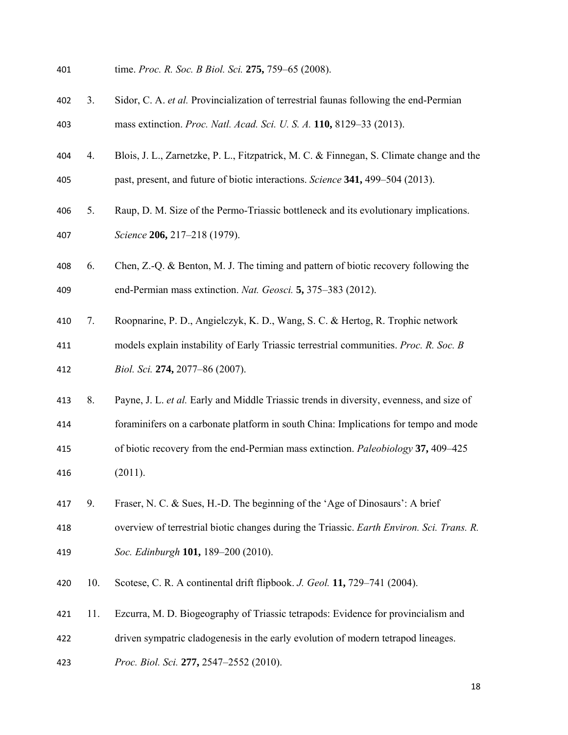| 401 |  |  |  |  | time. Proc. R. Soc. B Biol. Sci. 275, 759–65 (2008). |
|-----|--|--|--|--|------------------------------------------------------|
|-----|--|--|--|--|------------------------------------------------------|

- 3. Sidor, C. A. *et al.* Provincialization of terrestrial faunas following the end-Permian mass extinction. *Proc. Natl. Acad. Sci. U. S. A.* **110,** 8129–33 (2013).
- 4. Blois, J. L., Zarnetzke, P. L., Fitzpatrick, M. C. & Finnegan, S. Climate change and the past, present, and future of biotic interactions. *Science* **341,** 499–504 (2013).
- 5. Raup, D. M. Size of the Permo-Triassic bottleneck and its evolutionary implications. *Science* **206,** 217–218 (1979).
- 6. Chen, Z.-Q. & Benton, M. J. The timing and pattern of biotic recovery following the end-Permian mass extinction. *Nat. Geosci.* **5,** 375–383 (2012).
- 7. Roopnarine, P. D., Angielczyk, K. D., Wang, S. C. & Hertog, R. Trophic network
- models explain instability of Early Triassic terrestrial communities. *Proc. R. Soc. B Biol. Sci.* **274,** 2077–86 (2007).
- 8. Payne, J. L. *et al.* Early and Middle Triassic trends in diversity, evenness, and size of foraminifers on a carbonate platform in south China: Implications for tempo and mode of biotic recovery from the end-Permian mass extinction. *Paleobiology* **37,** 409–425
- (2011).
- 9. Fraser, N. C. & Sues, H.-D. The beginning of the 'Age of Dinosaurs': A brief overview of terrestrial biotic changes during the Triassic. *Earth Environ. Sci. Trans. R. Soc. Edinburgh* **101,** 189–200 (2010).
- 10. Scotese, C. R. A continental drift flipbook. *J. Geol.* **11,** 729–741 (2004).
- 11. Ezcurra, M. D. Biogeography of Triassic tetrapods: Evidence for provincialism and

driven sympatric cladogenesis in the early evolution of modern tetrapod lineages.

*Proc. Biol. Sci.* **277,** 2547–2552 (2010).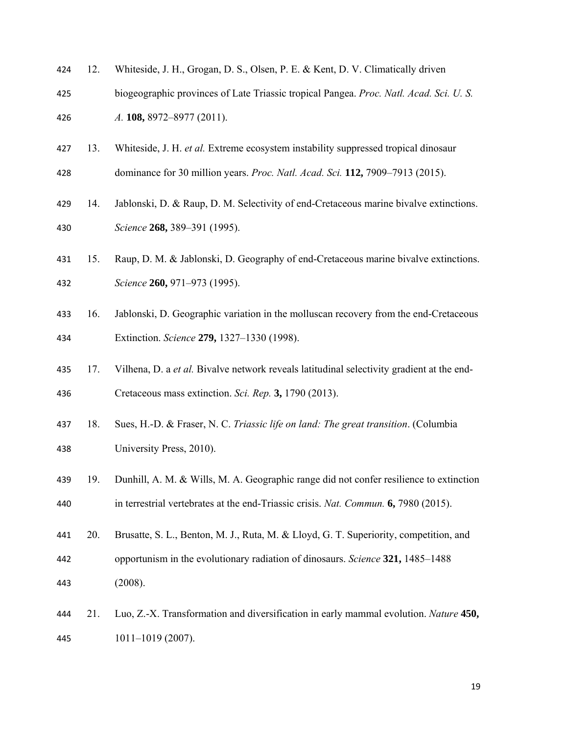| 424 | 12. | Whiteside, J. H., Grogan, D. S., Olsen, P. E. & Kent, D. V. Climatically driven           |
|-----|-----|-------------------------------------------------------------------------------------------|
| 425 |     | biogeographic provinces of Late Triassic tropical Pangea. Proc. Natl. Acad. Sci. U. S.    |
| 426 |     | A. 108, 8972-8977 (2011).                                                                 |
| 427 | 13. | Whiteside, J. H. et al. Extreme ecosystem instability suppressed tropical dinosaur        |
| 428 |     | dominance for 30 million years. Proc. Natl. Acad. Sci. 112, 7909-7913 (2015).             |
| 429 | 14. | Jablonski, D. & Raup, D. M. Selectivity of end-Cretaceous marine bivalve extinctions.     |
| 430 |     | Science 268, 389-391 (1995).                                                              |
| 431 | 15. | Raup, D. M. & Jablonski, D. Geography of end-Cretaceous marine bivalve extinctions.       |
| 432 |     | Science 260, 971-973 (1995).                                                              |
| 433 | 16. | Jablonski, D. Geographic variation in the molluscan recovery from the end-Cretaceous      |
| 434 |     | Extinction. Science 279, 1327-1330 (1998).                                                |
| 435 | 17. | Vilhena, D. a et al. Bivalve network reveals latitudinal selectivity gradient at the end- |
| 436 |     | Cretaceous mass extinction. Sci. Rep. 3, 1790 (2013).                                     |
| 437 | 18. | Sues, H.-D. & Fraser, N. C. Triassic life on land: The great transition. (Columbia        |
| 438 |     | University Press, 2010).                                                                  |
| 439 | 19. | Dunhill, A. M. & Wills, M. A. Geographic range did not confer resilience to extinction    |
| 440 |     | in terrestrial vertebrates at the end-Triassic crisis. Nat. Commun. 6, 7980 (2015).       |
| 441 | 20. | Brusatte, S. L., Benton, M. J., Ruta, M. & Lloyd, G. T. Superiority, competition, and     |
| 442 |     | opportunism in the evolutionary radiation of dinosaurs. Science 321, 1485-1488            |
| 443 |     | (2008).                                                                                   |
| 444 | 21. | Luo, Z.-X. Transformation and diversification in early mammal evolution. Nature 450,      |
| 445 |     | $1011 - 1019(2007)$ .                                                                     |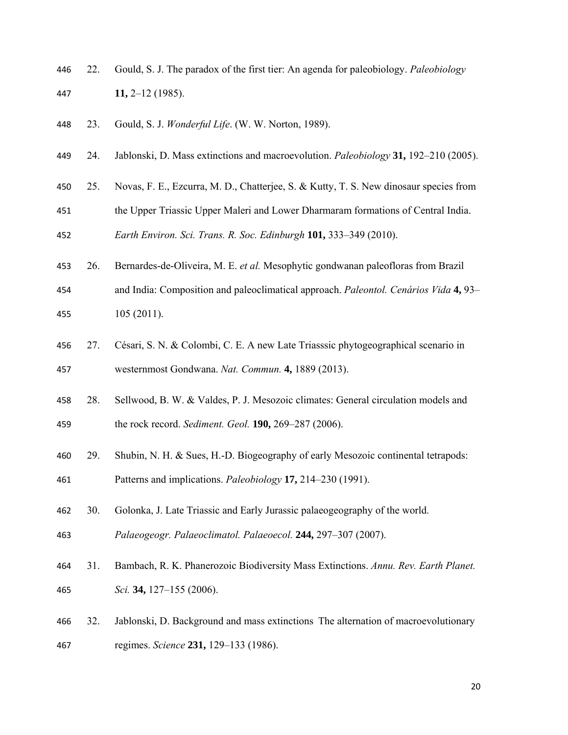- 22. Gould, S. J. The paradox of the first tier: An agenda for paleobiology. *Paleobiology* **11,** 2–12 (1985).
- 23. Gould, S. J. *Wonderful Life*. (W. W. Norton, 1989).
- 24. Jablonski, D. Mass extinctions and macroevolution. *Paleobiology* **31,** 192–210 (2005).
- 25. Novas, F. E., Ezcurra, M. D., Chatterjee, S. & Kutty, T. S. New dinosaur species from
- the Upper Triassic Upper Maleri and Lower Dharmaram formations of Central India.
- *Earth Environ. Sci. Trans. R. Soc. Edinburgh* **101,** 333–349 (2010).
- 26. Bernardes-de-Oliveira, M. E. *et al.* Mesophytic gondwanan paleofloras from Brazil and India: Composition and paleoclimatical approach. *Paleontol. Cenários Vida* **4,** 93– 105 (2011).
- 27. Césari, S. N. & Colombi, C. E. A new Late Triasssic phytogeographical scenario in westernmost Gondwana. *Nat. Commun.* **4,** 1889 (2013).
- 28. Sellwood, B. W. & Valdes, P. J. Mesozoic climates: General circulation models and the rock record. *Sediment. Geol.* **190,** 269–287 (2006).
- 29. Shubin, N. H. & Sues, H.-D. Biogeography of early Mesozoic continental tetrapods: Patterns and implications. *Paleobiology* **17,** 214–230 (1991).
- 30. Golonka, J. Late Triassic and Early Jurassic palaeogeography of the world.
- *Palaeogeogr. Palaeoclimatol. Palaeoecol.* **244,** 297–307 (2007).
- 31. Bambach, R. K. Phanerozoic Biodiversity Mass Extinctions. *Annu. Rev. Earth Planet. Sci.* **34,** 127–155 (2006).
- 32. Jablonski, D. Background and mass extinctions The alternation of macroevolutionary regimes. *Science* **231,** 129–133 (1986).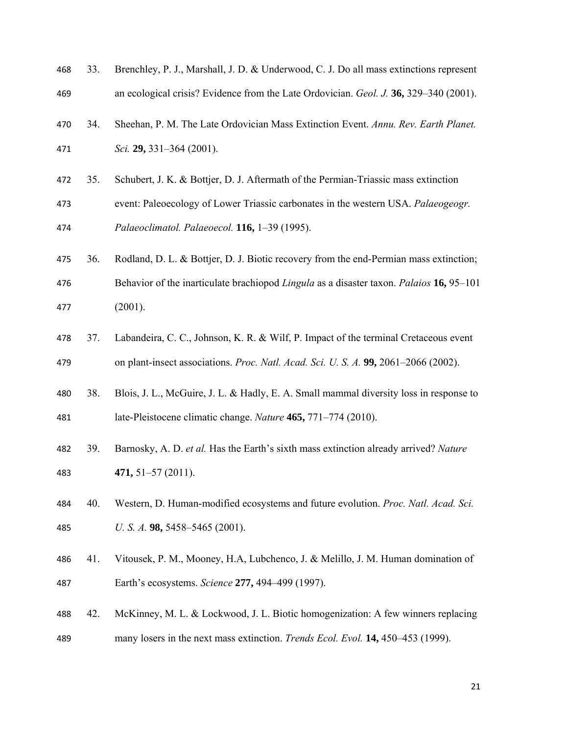| 468 | 33. | Brenchley, P. J., Marshall, J. D. & Underwood, C. J. Do all mass extinctions represent  |
|-----|-----|-----------------------------------------------------------------------------------------|
| 469 |     | an ecological crisis? Evidence from the Late Ordovician. Geol. J. 36, 329–340 (2001).   |
| 470 | 34. | Sheehan, P. M. The Late Ordovician Mass Extinction Event. Annu. Rev. Earth Planet.      |
| 471 |     | Sci. 29, 331–364 (2001).                                                                |
| 472 | 35. | Schubert, J. K. & Bottjer, D. J. Aftermath of the Permian-Triassic mass extinction      |
| 473 |     | event: Paleoecology of Lower Triassic carbonates in the western USA. Palaeogeogr.       |
| 474 |     | Palaeoclimatol. Palaeoecol. 116, 1-39 (1995).                                           |
| 475 | 36. | Rodland, D. L. & Bottjer, D. J. Biotic recovery from the end-Permian mass extinction;   |
| 476 |     | Behavior of the inarticulate brachiopod Lingula as a disaster taxon. Palaios 16, 95-101 |
| 477 |     | (2001).                                                                                 |
| 478 | 37. | Labandeira, C. C., Johnson, K. R. & Wilf, P. Impact of the terminal Cretaceous event    |
| 479 |     | on plant-insect associations. Proc. Natl. Acad. Sci. U. S. A. 99, 2061-2066 (2002).     |
| 480 | 38. | Blois, J. L., McGuire, J. L. & Hadly, E. A. Small mammal diversity loss in response to  |
| 481 |     | late-Pleistocene climatic change. Nature 465, 771–774 (2010).                           |
| 482 | 39. | Barnosky, A. D. et al. Has the Earth's sixth mass extinction already arrived? Nature    |
| 483 |     | 471, $51-57(2011)$ .                                                                    |
| 484 | 40. | Western, D. Human-modified ecosystems and future evolution. Proc. Natl. Acad. Sci.      |
| 485 |     | U. S. A. 98, 5458-5465 (2001).                                                          |
| 486 | 41. | Vitousek, P. M., Mooney, H.A., Lubchenco, J. & Melillo, J. M. Human domination of       |
| 487 |     | Earth's ecosystems. Science 277, 494-499 (1997).                                        |
| 488 | 42. | McKinney, M. L. & Lockwood, J. L. Biotic homogenization: A few winners replacing        |
| 489 |     | many losers in the next mass extinction. Trends Ecol. Evol. 14, 450–453 (1999).         |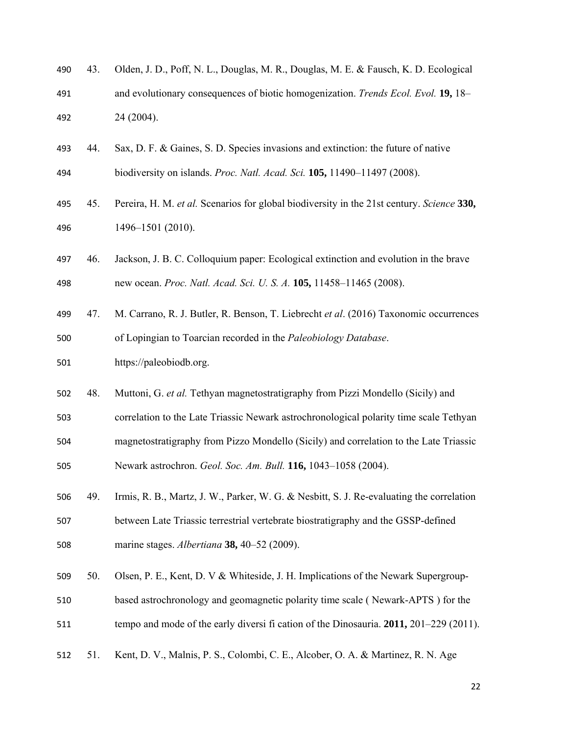| 490 | 43. | Olden, J. D., Poff, N. L., Douglas, M. R., Douglas, M. E. & Fausch, K. D. Ecological      |
|-----|-----|-------------------------------------------------------------------------------------------|
| 491 |     | and evolutionary consequences of biotic homogenization. Trends Ecol. Evol. 19, 18–        |
| 492 |     | 24 (2004).                                                                                |
| 493 | 44. | Sax, D. F. & Gaines, S. D. Species invasions and extinction: the future of native         |
| 494 |     | biodiversity on islands. Proc. Natl. Acad. Sci. 105, 11490-11497 (2008).                  |
| 495 | 45. | Pereira, H. M. et al. Scenarios for global biodiversity in the 21st century. Science 330, |
| 496 |     | 1496-1501 (2010).                                                                         |
| 497 | 46. | Jackson, J. B. C. Colloquium paper: Ecological extinction and evolution in the brave      |
| 498 |     | new ocean. Proc. Natl. Acad. Sci. U. S. A. 105, 11458-11465 (2008).                       |
| 499 | 47. | M. Carrano, R. J. Butler, R. Benson, T. Liebrecht et al. (2016) Taxonomic occurrences     |
| 500 |     | of Lopingian to Toarcian recorded in the Paleobiology Database.                           |
| 501 |     | https://paleobiodb.org.                                                                   |
| 502 | 48. | Muttoni, G. et al. Tethyan magnetostratigraphy from Pizzi Mondello (Sicily) and           |
| 503 |     | correlation to the Late Triassic Newark astrochronological polarity time scale Tethyan    |
| 504 |     | magnetostratigraphy from Pizzo Mondello (Sicily) and correlation to the Late Triassic     |
| 505 |     | Newark astrochron. Geol. Soc. Am. Bull. 116, 1043-1058 (2004).                            |
| 506 | 49. | Irmis, R. B., Martz, J. W., Parker, W. G. & Nesbitt, S. J. Re-evaluating the correlation  |
| 507 |     | between Late Triassic terrestrial vertebrate biostratigraphy and the GSSP-defined         |
| 508 |     | marine stages. Albertiana 38, 40–52 (2009).                                               |
| 509 | 50. | Olsen, P. E., Kent, D. V & Whiteside, J. H. Implications of the Newark Supergroup-        |
| 510 |     | based astrochronology and geomagnetic polarity time scale (Newark-APTS) for the           |
| 511 |     | tempo and mode of the early diversi fi cation of the Dinosauria. 2011, 201–229 (2011).    |
| 512 | 51. | Kent, D. V., Malnis, P. S., Colombi, C. E., Alcober, O. A. & Martinez, R. N. Age          |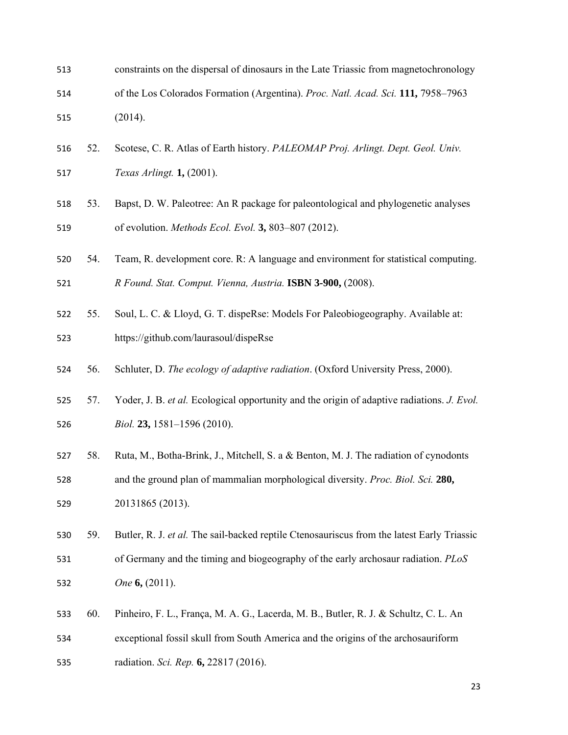| 513 |     | constraints on the dispersal of dinosaurs in the Late Triassic from magnetochronology      |
|-----|-----|--------------------------------------------------------------------------------------------|
| 514 |     | of the Los Colorados Formation (Argentina). Proc. Natl. Acad. Sci. 111, 7958-7963          |
| 515 |     | (2014).                                                                                    |
| 516 | 52. | Scotese, C. R. Atlas of Earth history. PALEOMAP Proj. Arlingt. Dept. Geol. Univ.           |
| 517 |     | Texas Arlingt. 1, (2001).                                                                  |
| 518 | 53. | Bapst, D. W. Paleotree: An R package for paleontological and phylogenetic analyses         |
| 519 |     | of evolution. Methods Ecol. Evol. 3, 803-807 (2012).                                       |
| 520 | 54. | Team, R. development core. R: A language and environment for statistical computing.        |
| 521 |     | R Found. Stat. Comput. Vienna, Austria. ISBN 3-900, (2008).                                |
| 522 | 55. | Soul, L. C. & Lloyd, G. T. dispeRse: Models For Paleobiogeography. Available at:           |
| 523 |     | https://github.com/laurasoul/dispeRse                                                      |
| 524 | 56. | Schluter, D. The ecology of adaptive radiation. (Oxford University Press, 2000).           |
| 525 | 57. | Yoder, J. B. et al. Ecological opportunity and the origin of adaptive radiations. J. Evol. |
| 526 |     | Biol. 23, 1581-1596 (2010).                                                                |
| 527 | 58. | Ruta, M., Botha-Brink, J., Mitchell, S. a & Benton, M. J. The radiation of cynodonts       |
| 528 |     | and the ground plan of mammalian morphological diversity. Proc. Biol. Sci. 280,            |
| 529 |     | 20131865 (2013).                                                                           |
| 530 | 59. | Butler, R. J. et al. The sail-backed reptile Ctenosauriscus from the latest Early Triassic |
| 531 |     | of Germany and the timing and biogeography of the early archosaur radiation. PLoS          |
| 532 |     | One $6, (2011)$ .                                                                          |
| 533 | 60. | Pinheiro, F. L., França, M. A. G., Lacerda, M. B., Butler, R. J. & Schultz, C. L. An       |
| 534 |     | exceptional fossil skull from South America and the origins of the archosauriform          |
| 535 |     | radiation. Sci. Rep. 6, 22817 (2016).                                                      |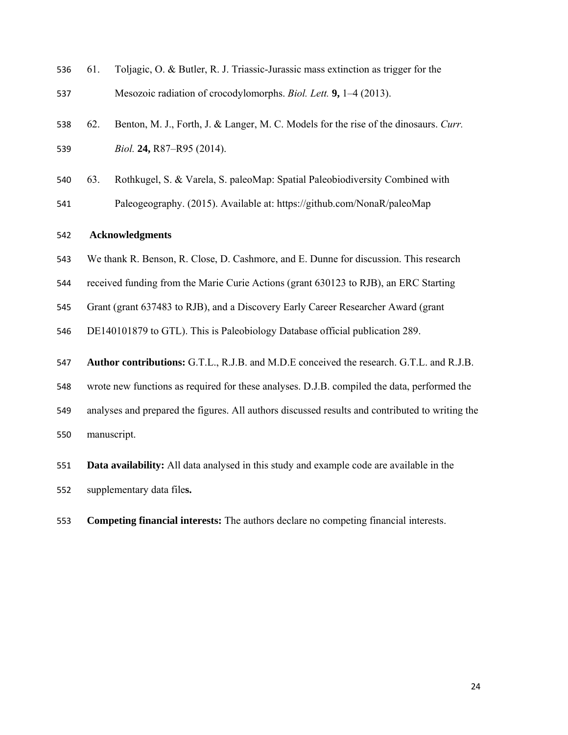| 536 | 61. | Toljagic, O. & Butler, R. J. Triassic-Jurassic mass extinction as trigger for the     |
|-----|-----|---------------------------------------------------------------------------------------|
| 537 |     | Mesozoic radiation of crocodylomorphs. <i>Biol. Lett.</i> 9, 1–4 (2013).              |
| 538 | 62. | Benton, M. J., Forth, J. & Langer, M. C. Models for the rise of the dinosaurs. Curr.  |
| 539 |     | <i>Biol.</i> 24, R87–R95 (2014).                                                      |
| 540 | 63. | Rothkugel, S. & Varela, S. paleoMap: Spatial Paleobiodiversity Combined with          |
| 541 |     | Paleogeography. (2015). Available at: https://github.com/NonaR/paleoMap               |
| 542 |     | <b>Acknowledgments</b>                                                                |
| 543 |     | We thank R. Benson, R. Close, D. Cashmore, and E. Dunne for discussion. This research |
| 544 |     | received funding from the Marie Curie Actions (grant 630123 to RJB), an ERC Starting  |
| 545 |     | Grant (grant 637483 to RJB), and a Discovery Early Career Researcher Award (grant     |

DE140101879 to GTL). This is Paleobiology Database official publication 289.

**Author contributions:** G.T.L., R.J.B. and M.D.E conceived the research. G.T.L. and R.J.B.

wrote new functions as required for these analyses. D.J.B. compiled the data, performed the

analyses and prepared the figures. All authors discussed results and contributed to writing the

manuscript.

**Data availability:** All data analysed in this study and example code are available in the

supplementary data file**s.**

**Competing financial interests:** The authors declare no competing financial interests.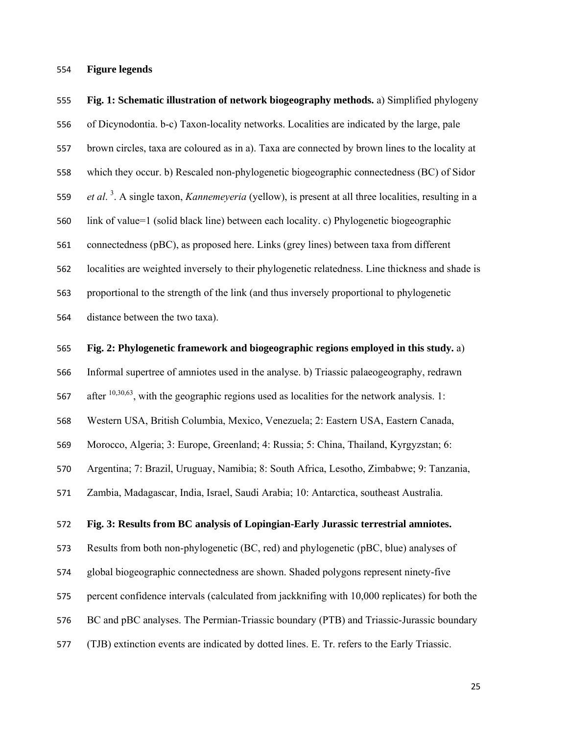### **Figure legends**

**Fig. 1: Schematic illustration of network biogeography methods.** a) Simplified phylogeny of Dicynodontia. b-c) Taxon-locality networks. Localities are indicated by the large, pale brown circles, taxa are coloured as in a). Taxa are connected by brown lines to the locality at which they occur. b) Rescaled non-phylogenetic biogeographic connectedness (BC) of Sidor 559 *et al.* <sup>3</sup>. A single taxon, *Kannemeyeria* (yellow), is present at all three localities, resulting in a link of value=1 (solid black line) between each locality. c) Phylogenetic biogeographic connectedness (pBC), as proposed here. Links (grey lines) between taxa from different localities are weighted inversely to their phylogenetic relatedness. Line thickness and shade is proportional to the strength of the link (and thus inversely proportional to phylogenetic distance between the two taxa).

## **Fig. 2: Phylogenetic framework and biogeographic regions employed in this study.** a)

Informal supertree of amniotes used in the analyse. b) Triassic palaeogeography, redrawn

567 after  $10,30,63$ , with the geographic regions used as localities for the network analysis. 1:

Western USA, British Columbia, Mexico, Venezuela; 2: Eastern USA, Eastern Canada,

Morocco, Algeria; 3: Europe, Greenland; 4: Russia; 5: China, Thailand, Kyrgyzstan; 6:

Argentina; 7: Brazil, Uruguay, Namibia; 8: South Africa, Lesotho, Zimbabwe; 9: Tanzania,

Zambia, Madagascar, India, Israel, Saudi Arabia; 10: Antarctica, southeast Australia.

#### **Fig. 3: Results from BC analysis of Lopingian-Early Jurassic terrestrial amniotes.**

Results from both non-phylogenetic (BC, red) and phylogenetic (pBC, blue) analyses of

global biogeographic connectedness are shown. Shaded polygons represent ninety-five

percent confidence intervals (calculated from jackknifing with 10,000 replicates) for both the

BC and pBC analyses. The Permian-Triassic boundary (PTB) and Triassic-Jurassic boundary

(TJB) extinction events are indicated by dotted lines. E. Tr. refers to the Early Triassic.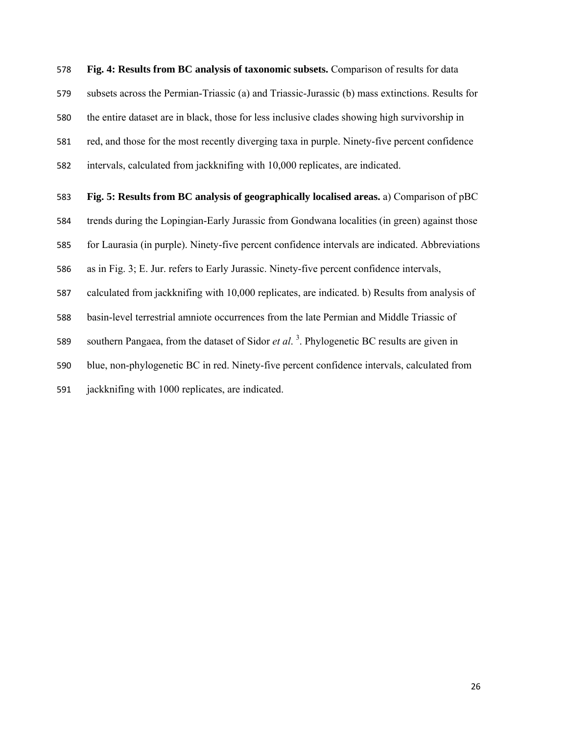**Fig. 4: Results from BC analysis of taxonomic subsets.** Comparison of results for data subsets across the Permian-Triassic (a) and Triassic-Jurassic (b) mass extinctions. Results for the entire dataset are in black, those for less inclusive clades showing high survivorship in red, and those for the most recently diverging taxa in purple. Ninety-five percent confidence intervals, calculated from jackknifing with 10,000 replicates, are indicated.

**Fig. 5: Results from BC analysis of geographically localised areas.** a) Comparison of pBC

trends during the Lopingian-Early Jurassic from Gondwana localities (in green) against those

for Laurasia (in purple). Ninety-five percent confidence intervals are indicated. Abbreviations

as in Fig. 3; E. Jur. refers to Early Jurassic. Ninety-five percent confidence intervals,

calculated from jackknifing with 10,000 replicates, are indicated. b) Results from analysis of

basin-level terrestrial amniote occurrences from the late Permian and Middle Triassic of

589 southern Pangaea, from the dataset of Sidor *et al.* <sup>3</sup>. Phylogenetic BC results are given in

blue, non-phylogenetic BC in red. Ninety-five percent confidence intervals, calculated from

jackknifing with 1000 replicates, are indicated.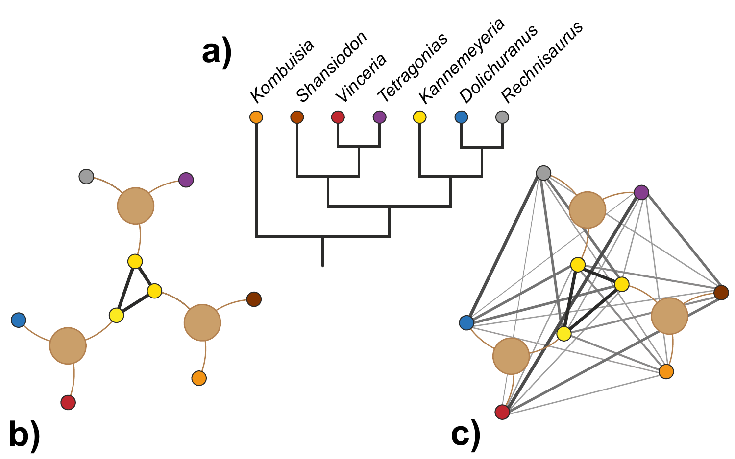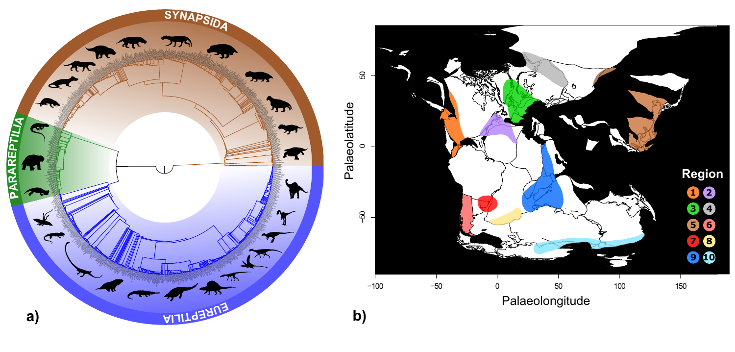

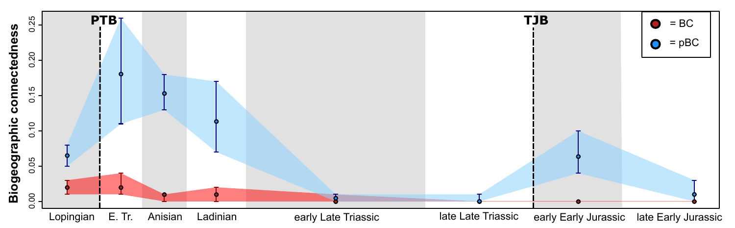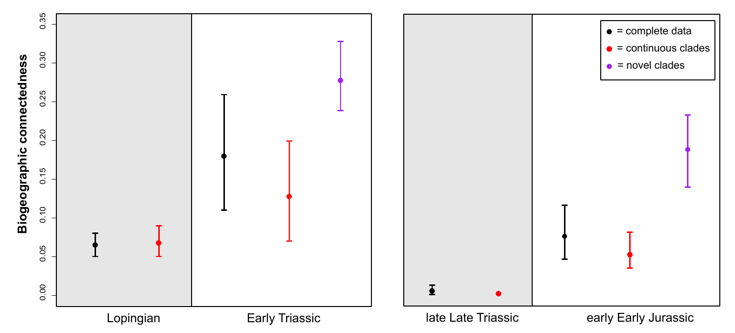